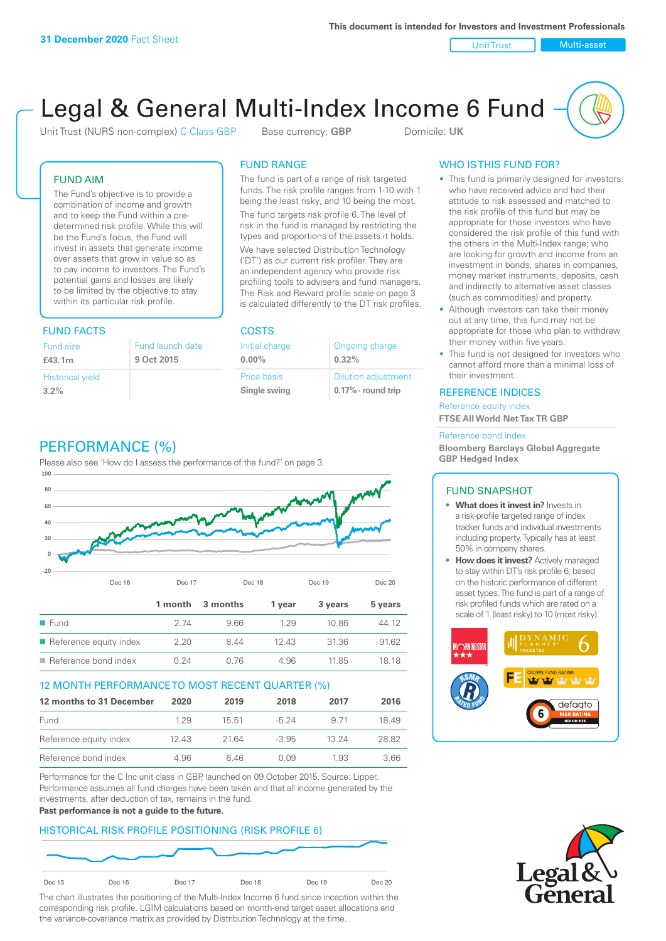Unit Trust Nulti-asset

# Legal & General Multi-Index Income 6 Fund

Unit Trust (NURS non-complex) C-Class GBP Base currency: **GBP** Domicile: UK

### FUND AIM

The Fund's objective is to provide a combination of income and growth and to keep the Fund within a predetermined risk profile. While this will be the Fund's focus, the Fund will invest in assets that generate income over assets that grow in value so as to pay income to investors. The Fund's potential gains and losses are likely to be limited by the objective to stay within its particular risk profile.

### FUND FACTS COSTS

| Fund size               | Fund launch date |
|-------------------------|------------------|
| £43.1m                  | 9 Oct 2015       |
| <b>Historical yield</b> |                  |
| 3.2%                    |                  |

### FUND RANGE

The fund is part of a range of risk targeted funds. The risk profile ranges from 1-10 with 1 being the least risky, and 10 being the most.

The fund targets risk profile 6. The level of risk in the fund is managed by restricting the types and proportions of the assets it holds. We have selected Distribution Technology ('DT') as our current risk profiler. They are an independent agency who provide risk profiling tools to advisers and fund managers. The Risk and Reward profile scale on page 3 is calculated differently to the DT risk profiles.

| Initial charge | Ongoing charge             |
|----------------|----------------------------|
| $0.00\%$       | 0.32%                      |
| Price basis    | <b>Dilution adjustment</b> |
| Single swing   | 0.17% - round trip         |

### PERFORMANCE (%)

Please also see 'How do I assess the performance of the fund?' on page 3.



### 12 MONTH PERFORMANCE TO MOST RECENT QUARTER (%)

| 12 months to 31 December | 2020 | 2019  | 2018    | 2017  | 2016  |
|--------------------------|------|-------|---------|-------|-------|
| Fund                     | 129  | 15.51 | $-5.24$ | 9 71  | 1849  |
| Reference equity index   | 1243 | 21.64 | $-3.95$ | 13 24 | 28.82 |
| Reference bond index     | 4.96 | 646   | O O.9   | 1.93  | 3.66  |

Performance for the C Inc unit class in GBP, launched on 09 October 2015. Source: Lipper. Performance assumes all fund charges have been taken and that all income generated by the investments, after deduction of tax, remains in the fund.

#### **Past performance is not a guide to the future.**

### HISTORICAL RISK PROFILE POSITIONING (RISK PROFILE 6)



The chart illustrates the positioning of the Multi-Index Income 6 fund since inception within the corresponding risk profile. LGIM calculations based on month-end target asset allocations and the variance-covariance matrix as provided by Distribution Technology at the time.

### WHO IS THIS FUND FOR?

- This fund is primarily designed for investors: who have received advice and had their attitude to risk assessed and matched to the risk profile of this fund but may be appropriate for those investors who have considered the risk profile of this fund with the others in the Multi-Index range; who are looking for growth and income from an investment in bonds, shares in companies, money market instruments, deposits, cash and indirectly to alternative asset classes (such as commodities) and property.
- Although investors can take their money out at any time, this fund may not be appropriate for those who plan to withdraw their money within five years.
- This fund is not designed for investors who cannot afford more than a minimal loss of their investment.

### REFERENCE INDICES

Reference equity index **FTSE All World Net Tax TR GBP**

#### Reference bond index

**Bloomberg Barclays Global Aggregate GBP Hedged Index**

### FUND SNAPSHOT

- **• What does it invest in?** Invests in a risk-profile targeted range of index tracker funds and individual investments including property. Typically has at least 50% in company shares.
- **• How does it invest?** Actively managed to stay within DT's risk profile 6, based on the historic performance of different asset types. The fund is part of a range of risk profiled funds which are rated on a scale of 1 (least risky) to 10 (most risky).



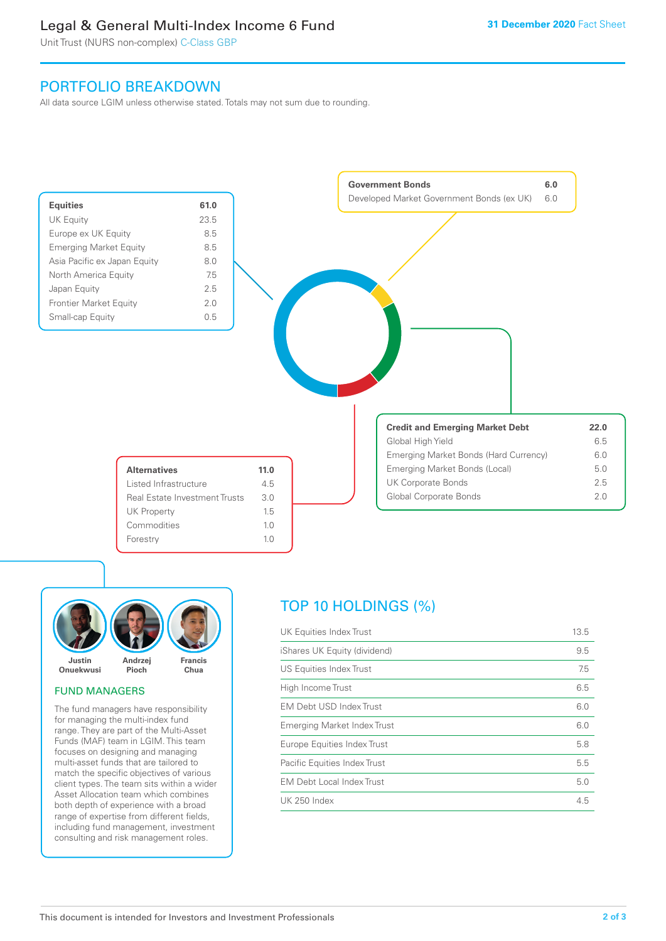### Legal & General Multi-Index Income 6 Fund

Unit Trust (NURS non-complex) C-Class GBP

### PORTFOLIO BREAKDOWN

All data source LGIM unless otherwise stated. Totals may not sum due to rounding.





### FUND MANAGERS

The fund managers have responsibility for managing the multi-index fund range. They are part of the Multi-Asset Funds (MAF) team in LGIM. This team focuses on designing and managing multi-asset funds that are tailored to match the specific objectives of various client types. The team sits within a wider Asset Allocation team which combines both depth of experience with a broad range of expertise from different fields, including fund management, investment consulting and risk management roles.

## TOP 10 HOLDINGS (%)

| UK Equities Index Trust          | 13.5 |
|----------------------------------|------|
| iShares UK Equity (dividend)     | 9.5  |
| US Equities Index Trust          | 7.5  |
| High Income Trust                | 6.5  |
| <b>EM Debt USD Index Trust</b>   | 6.0  |
| Emerging Market Index Trust      | 6.0  |
| Europe Equities Index Trust      | 5.8  |
| Pacific Equities Index Trust     | 5.5  |
| <b>EM Debt Local Index Trust</b> | 5.0  |
| UK 250 Index                     | 4.5  |
|                                  |      |